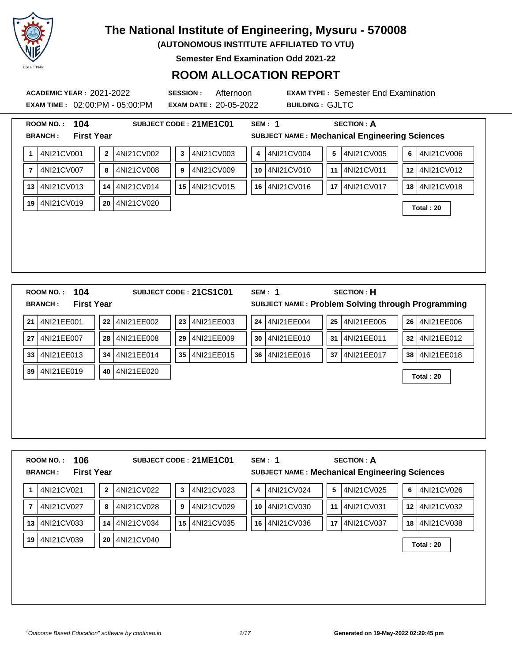

**(AUTONOMOUS INSTITUTE AFFILIATED TO VTU)**

**Semester End Examination Odd 2021-22**

### **ROOM ALLOCATION REPORT**

**EXAM TIME :** 02:00:PM - 05:00:PM **EXAM DATE :** 20-05-2022 **BUILDING :** GJLTC

**ACADEMIC YEAR :** 2021-2022 **SESSION :** Afternoon **EXAM TYPE :** Semester End Examination

|                | 104<br><b>ROOM NO.:</b><br><b>First Year</b><br><b>BRANCH:</b> |          |            | SUBJECT CODE: 21ME1C01     | <b>SEM: 1</b><br><b>SUBJECT NAME: Mechanical Engineering Sciences</b> | <b>SECTION: A</b>                     |                              |
|----------------|----------------------------------------------------------------|----------|------------|----------------------------|-----------------------------------------------------------------------|---------------------------------------|------------------------------|
| 1              | 4NI21CV001                                                     | $\bf{2}$ | 4NI21CV002 | 4NI21CV003<br>$\mathbf{3}$ | 4NI21CV004<br>4                                                       | $\overline{\mathbf{5}}$<br>4NI21CV005 | 4NI21CV006<br>6 <sup>1</sup> |
| $\overline{7}$ | 4NI21CV007                                                     | 8        | 4NI21CV008 | 4NI21CV009<br>9            | 10 4NI21CV010                                                         | 4NI21CV011<br>11                      | 4NI21CV012<br>12             |
| 13             | 4NI21CV013                                                     | 14       | 4NI21CV014 | 15 4NI21CV015              | 16 4NI21CV016                                                         | 17<br>4NI21CV017                      | 4NI21CV018<br>18             |
| 19             | 4NI21CV019                                                     | 20       | 4NI21CV020 |                            |                                                                       |                                       | Total: 20                    |
|                | 104<br><b>ROOM NO.:</b>                                        |          |            | SUBJECT CODE: 21CS1C01     | <b>SEM: 1</b>                                                         | <b>SECTION: H</b>                     |                              |
|                | <b>First Year</b><br><b>BRANCH:</b>                            |          |            |                            | SUBJECT NAME: Problem Solving through Programming                     |                                       |                              |
| 21             | 4NI21EE001                                                     | 22       | 4NI21EE002 | 4NI21EE003<br>23           | 4NI21EE004<br>24                                                      | 4NI21EE005<br>25                      | 4NI21EE006<br>26             |
| 27             | 4NI21EE007                                                     | 28       | 4NI21EE008 | 4NI21EE009<br>29           | 4NI21EE010<br>30                                                      | 31<br>4NI21EE011                      | 4NI21EE012<br>32             |
| 33             | 4NI21EE013                                                     | 34       | 4NI21EE014 | 35 4NI21EE015              | 36 4NI21EE016                                                         | 37<br>4NI21EE017                      | 4NI21EE018<br>38             |
| 39             | 4NI21EE019                                                     | 40       | 4NI21EE020 |                            |                                                                       |                                       | Total: 20                    |
|                |                                                                |          |            |                            |                                                                       |                                       |                              |
|                |                                                                |          |            |                            |                                                                       |                                       |                              |

**1** 4NI21CV021 **2** 4NI21CV022 **3** 4NI21CV023 **4** 4NI21CV024 **5** 4NI21CV025 **6** 4NI21CV026 **7** 4NI21CV027 **8** 4NI21CV028 **9** 4NI21CV029 **10** 4NI21CV030 **11** 4NI21CV031 **12** 4NI21CV032 **13** 4NI21CV033 **14** 4NI21CV034 **15** 4NI21CV035 **16** 4NI21CV036 **17** 4NI21CV037 **18** 4NI21CV038

**<sup>19</sup>** 4NI21CV039 **<sup>20</sup>** 4NI21CV040 **Total : 20**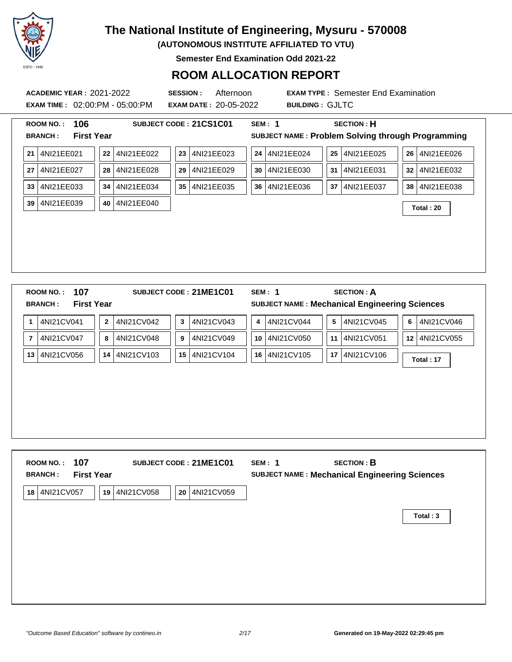

**(AUTONOMOUS INSTITUTE AFFILIATED TO VTU)**

**Semester End Examination Odd 2021-22**

#### **ROOM ALLOCATION REPORT**

**EXAM TIME :** 02:00:PM - 05:00:PM **EXAM DATE :** 20-05-2022 **BUILDING :** GJLTC

| 106<br>ROOM NO.:                                               |                            | SUBJECT CODE: 21CS1C01 | <b>SEM: 1</b>    | <b>SECTION: H</b>                                                         |                               |
|----------------------------------------------------------------|----------------------------|------------------------|------------------|---------------------------------------------------------------------------|-------------------------------|
| <b>First Year</b><br><b>BRANCH:</b>                            |                            |                        |                  | SUBJECT NAME: Problem Solving through Programming                         |                               |
| 4NI21EE021<br>21                                               | 22<br>4NI21EE022           | 23<br>4NI21EE023       | 4NI21EE024<br>24 | 4NI21EE025<br>25                                                          | 4NI21EE026<br>26              |
| 4NI21EE027<br>27                                               | 4NI21EE028<br>28           | 4NI21EE029<br>29       | 4NI21EE030<br>30 | 4NI21EE031<br>31                                                          | 4NI21EE032<br>32              |
| 4NI21EE033<br>33                                               | 4NI21EE034<br>34           | 4NI21EE035<br>35       | 4NI21EE036<br>36 | 4NI21EE037<br>37                                                          | 4NI21EE038<br>38 <sup>°</sup> |
| 4NI21EE039<br>39                                               | 4NI21EE040<br>40           |                        |                  |                                                                           | Total: 20                     |
|                                                                |                            |                        |                  |                                                                           |                               |
|                                                                |                            |                        |                  |                                                                           |                               |
|                                                                |                            |                        |                  |                                                                           |                               |
|                                                                |                            |                        |                  |                                                                           |                               |
|                                                                |                            |                        |                  |                                                                           |                               |
|                                                                |                            |                        |                  |                                                                           |                               |
| 107<br><b>ROOM NO.:</b><br><b>First Year</b><br><b>BRANCH:</b> |                            | SUBJECT CODE: 21ME1C01 | <b>SEM: 1</b>    | <b>SECTION: A</b><br><b>SUBJECT NAME: Mechanical Engineering Sciences</b> |                               |
| 4NI21CV041<br>1                                                | 4NI21CV042<br>$\mathbf{2}$ | 4NI21CV043<br>3        | 4NI21CV044<br>4  | 5<br>4NI21CV045                                                           | 4NI21CV046<br>6               |
| 4NI21CV047<br>$\overline{7}$                                   | 8<br>4NI21CV048            | 9<br>4NI21CV049        | 10<br>4NI21CV050 | 4NI21CV051<br>11                                                          | 4NI21CV055<br>12 <sup>1</sup> |
| 4NI21CV056<br>13                                               | 14 4NI21CV103              | 15<br>4NI21CV104       | 4NI21CV105<br>16 | 4NI21CV106<br>17                                                          |                               |
|                                                                |                            |                        |                  |                                                                           | Total: 17                     |

| 107<br><b>ROOM NO.:</b><br><b>First Year</b><br><b>BRANCH:</b> | SUBJECT CODE: 21ME1C01 |            | SEM: 1<br><b>SUBJECT NAME: Mechanical Engineering Sciences</b> | <b>SECTION: B</b> |          |
|----------------------------------------------------------------|------------------------|------------|----------------------------------------------------------------|-------------------|----------|
| 4NI21CV057<br>19<br>18                                         | 4NI21CV058<br>20       | 4NI21CV059 |                                                                |                   |          |
|                                                                |                        |            |                                                                |                   | Total: 3 |
|                                                                |                        |            |                                                                |                   |          |
|                                                                |                        |            |                                                                |                   |          |
|                                                                |                        |            |                                                                |                   |          |
|                                                                |                        |            |                                                                |                   |          |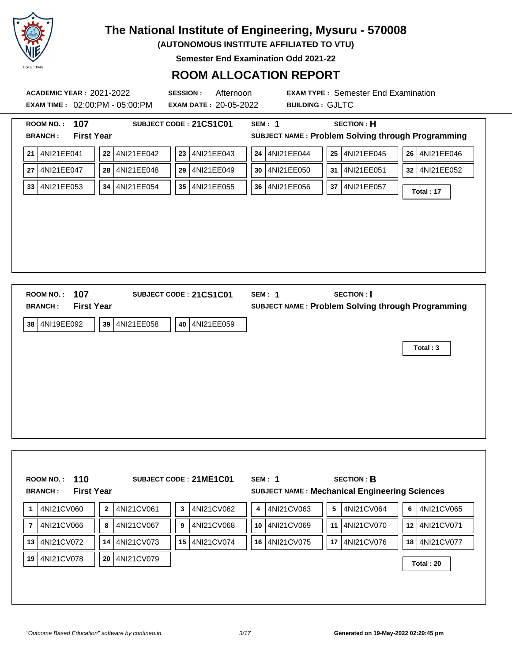

**(AUTONOMOUS INSTITUTE AFFILIATED TO VTU)**

**Semester End Examination Odd 2021-22**

### **ROOM ALLOCATION REPORT**

**ACADEMIC YEAR :** 2021-2022 **SESSION :** Afternoon **EXAM TYPE :** Semester End Examination **EXAM TIME :** 02:00:PM - 05:00:PM **EXAM DATE :** 20-05-2022 **BUILDING :** GJLTC **ROOM NO. : 107 SUBJECT CODE : 21CS1C01 SEM : 1 SECTION : H BRANCH : First Year SUBJECT NAME : Problem Solving through Programming 21** 4NI21EE041 **22** 4NI21EE042 **23** 4NI21EE043 **24** 4NI21EE044 **25** 4NI21EE045 **26** 4NI21EE046 **27** 4NI21EE047 **28** 4NI21EE048 **29** 4NI21EE049 **30** 4NI21EE050 **31** 4NI21EE051 **32** 4NI21EE052 **<sup>33</sup>** 4NI21EE053 **<sup>34</sup>** 4NI21EE054 **<sup>35</sup>** 4NI21EE055 **<sup>36</sup>** 4NI21EE056 **<sup>37</sup>** 4NI21EE057 **Total : 17 ROOM NO. : 107 SUBJECT CODE : 21CS1C01 SEM : 1 SECTION : I BRANCH : First Year SUBJECT NAME : Problem Solving through Programming 38** 4NI19EE092 **39** 4NI21EE058 **40** 4NI21EE059

**Total : 3**

|                | 110<br><b>ROOM NO.:</b><br><b>First Year</b><br><b>BRANCH:</b> |                |            |    | SUBJECT CODE: 21ME1C01 |    | SEM: 1     |    | <b>SECTION: B</b><br><b>SUBJECT NAME: Mechanical Engineering Sciences</b> |   |               |
|----------------|----------------------------------------------------------------|----------------|------------|----|------------------------|----|------------|----|---------------------------------------------------------------------------|---|---------------|
| 1              | 4NI21CV060                                                     | $\overline{2}$ | 4NI21CV061 | 3  | 4NI21CV062             | 4  | 4NI21CV063 | 5  | 4NI21CV064                                                                | 6 | 4NI21CV065    |
| $\overline{7}$ | 4NI21CV066                                                     | 8              | 4NI21CV067 | 9  | 4NI21CV068             | 10 | 4NI21CV069 |    | 11 4NI21CV070                                                             |   | 12 4NI21CV071 |
| 13             | 4NI21CV072                                                     | 14             | 4NI21CV073 | 15 | 4NI21CV074             | 16 | 4NI21CV075 | 17 | 4NI21CV076                                                                |   | 18 4NI21CV077 |
| 19             | 4NI21CV078                                                     | 20             | 4NI21CV079 |    |                        |    |            |    |                                                                           |   | Total: 20     |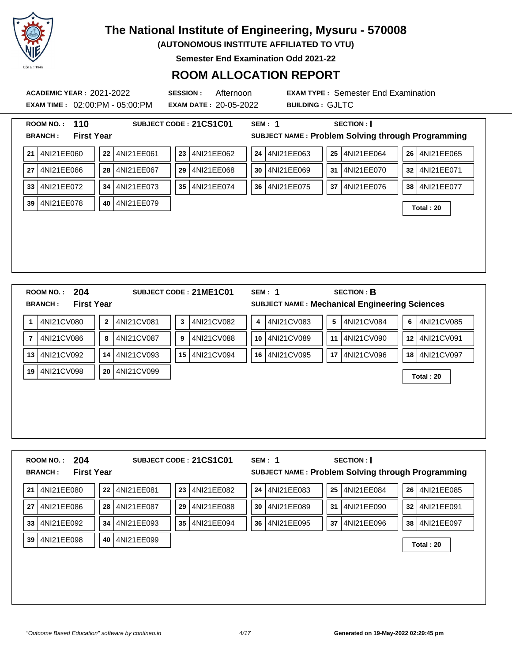

**(AUTONOMOUS INSTITUTE AFFILIATED TO VTU)**

**Semester End Examination Odd 2021-22**

#### **ROOM ALLOCATION REPORT**

**EXAM TIME :** 02:00:PM - 05:00:PM **EXAM DATE :** 20-05-2022 **BUILDING :** GJLTC

|                | 110<br><b>ROOM NO.:</b>             |         |            |    | SUBJECT CODE: 21CS1C01 |    | <b>SEM: 1</b> |    | SECTION :                                            |    |               |
|----------------|-------------------------------------|---------|------------|----|------------------------|----|---------------|----|------------------------------------------------------|----|---------------|
|                | <b>First Year</b><br><b>BRANCH:</b> |         |            |    |                        |    |               |    | SUBJECT NAME: Problem Solving through Programming    |    |               |
| 21             | 4NI21EE060                          | 22      | 4NI21EE061 | 23 | 4NI21EE062             | 24 | 4NI21EE063    | 25 | 4NI21EE064                                           | 26 | 4NI21EE065    |
| 27             | 4NI21EE066                          | 28      | 4NI21EE067 | 29 | 4NI21EE068             | 30 | 4NI21EE069    | 31 | 4NI21EE070                                           | 32 | 4NI21EE071    |
| 33             | 4NI21EE072                          | 34      | 4NI21EE073 | 35 | 4NI21EE074             | 36 | 4NI21EE075    | 37 | 4NI21EE076                                           | 38 | 4NI21EE077    |
| 39             | 4NI21EE078                          | 40      | 4NI21EE079 |    |                        |    |               |    |                                                      |    | Total: 20     |
|                |                                     |         |            |    |                        |    |               |    |                                                      |    |               |
|                |                                     |         |            |    |                        |    |               |    |                                                      |    |               |
|                |                                     |         |            |    |                        |    |               |    |                                                      |    |               |
|                |                                     |         |            |    |                        |    |               |    |                                                      |    |               |
|                |                                     |         |            |    |                        |    |               |    |                                                      |    |               |
|                |                                     |         |            |    |                        |    |               |    |                                                      |    |               |
|                | 204<br><b>ROOM NO.:</b>             |         |            |    | SUBJECT CODE: 21ME1C01 |    | <b>SEM: 1</b> |    | <b>SECTION: B</b>                                    |    |               |
|                | <b>First Year</b><br><b>BRANCH:</b> |         |            |    |                        |    |               |    | <b>SUBJECT NAME: Mechanical Engineering Sciences</b> |    |               |
| 1              | 4NI21CV080                          | $\bf 2$ | 4NI21CV081 | 3  | 4NI21CV082             | 4  | 4NI21CV083    | 5  | 4NI21CV084                                           | 6  | 4NI21CV085    |
| $\overline{7}$ | 4NI21CV086                          | 8       | 4NI21CV087 | 9  | 4NI21CV088             | 10 | 4NI21CV089    | 11 | 4NI21CV090                                           | 12 | 4NI21CV091    |
| 13             | 4NI21CV092                          | 14      | 4NI21CV093 | 15 | 4NI21CV094             | 16 | 4NI21CV095    | 17 | 4NI21CV096                                           |    | 18 4NI21CV097 |
| 19             | 4NI21CV098                          | 20      | 4NI21CV099 |    |                        |    |               |    |                                                      |    | Total: 20     |
|                |                                     |         |            |    |                        |    |               |    |                                                      |    |               |
|                |                                     |         |            |    |                        |    |               |    |                                                      |    |               |
|                |                                     |         |            |    |                        |    |               |    |                                                      |    |               |

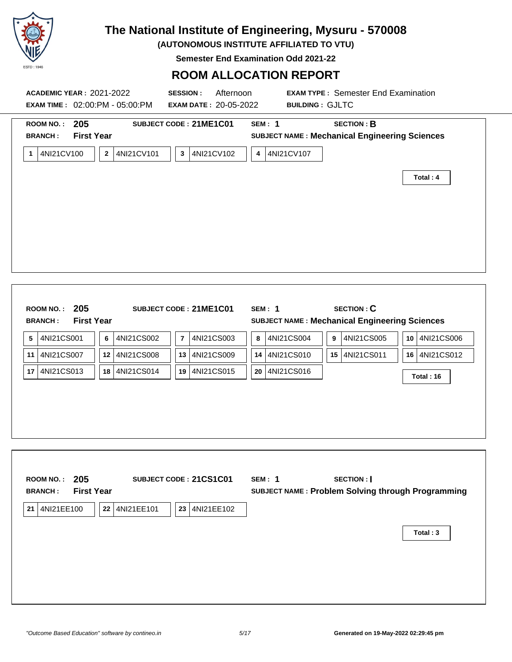

**(AUTONOMOUS INSTITUTE AFFILIATED TO VTU)**

**Semester End Examination Odd 2021-22**

#### **ROOM ALLOCATION REPORT**

| <b>ACADEMIC YEAR: 2021-2022</b><br><b>EXAM TIME: 02:00:PM - 05:00:PM</b>                              | Afternoon<br><b>SESSION:</b><br><b>EXAM DATE: 20-05-2022</b> | <b>EXAM TYPE: Semester End Examination</b><br><b>BUILDING: GJLTC</b>                                                       |                            |
|-------------------------------------------------------------------------------------------------------|--------------------------------------------------------------|----------------------------------------------------------------------------------------------------------------------------|----------------------------|
| ROOM NO.: 205<br><b>First Year</b><br><b>BRANCH:</b><br>4NI21CV100<br>$\mathbf{2}$<br>4NI21CV101<br>1 | SUBJECT CODE: 21ME1C01<br>4NI21CV102<br>$\mathbf{3}$         | <b>SECTION: B</b><br><b>SEM: 1</b><br><b>SUBJECT NAME: Mechanical Engineering Sciences</b><br>4NI21CV107<br>4              |                            |
|                                                                                                       |                                                              |                                                                                                                            | Total: 4                   |
| ROOM NO.: 205<br><b>First Year</b><br><b>BRANCH:</b><br>5<br>4NI21CS001<br>$\bf 6$<br>4NI21CS002      | SUBJECT CODE: 21ME1C01<br>4NI21CS003<br>$\overline{7}$       | <b>SECTION: C</b><br><b>SEM: 1</b><br>SUBJECT NAME : Mechanical Engineering Sciences<br>4NI21CS005<br>4NI21CS004<br>9<br>8 | 10 4NI21CS006              |
| 4NI21CS007<br>12<br>4NI21CS008<br>11<br>4NI21CS013<br>17<br>18<br>4NI21CS014                          | 13 4NI21CS009<br>19 4NI21CS015                               | 4NI21CS010<br>15 4NI21CS011<br>14<br>4NI21CS016<br>20                                                                      | 16 4NI21CS012<br>Total: 16 |
| 205<br><b>ROOM NO.:</b><br><b>First Year</b><br><b>BRANCH:</b><br>21 4NI21EE100<br>22<br>4NI21EE101   | SUBJECT CODE: 21CS1C01<br>23 4NI21EE102                      | <b>SECTION:</b><br><b>SEM: 1</b><br>SUBJECT NAME : Problem Solving through Programming                                     |                            |
|                                                                                                       |                                                              |                                                                                                                            | Total: 3                   |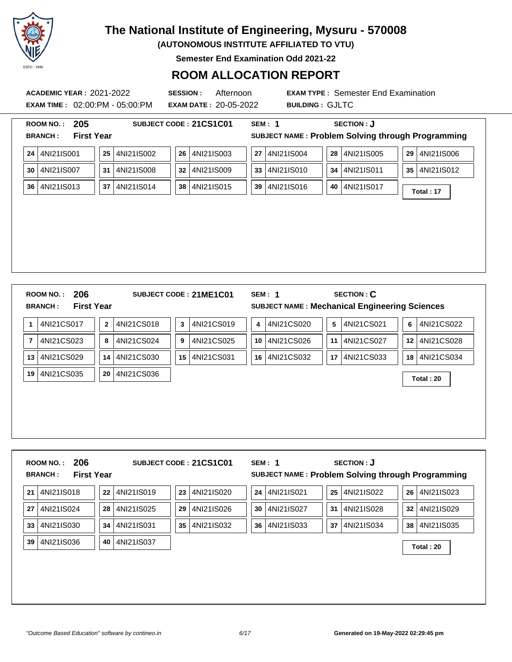

**(AUTONOMOUS INSTITUTE AFFILIATED TO VTU)**

**Semester End Examination Odd 2021-22**

### **ROOM ALLOCATION REPORT**

**EXAM TIME :** 02:00:PM - 05:00:PM **EXAM DATE :** 20-05-2022 **BUILDING :** GJLTC

**ACADEMIC YEAR :** 2021-2022 **SESSION :** Afternoon **EXAM TYPE :** Semester End Examination

| 205<br>SUBJECT CODE: 21CS1C01<br><b>ROOM NO.:</b>                                 | <b>SECTION: J</b><br><b>SEM: 1</b>                                                      |
|-----------------------------------------------------------------------------------|-----------------------------------------------------------------------------------------|
| <b>BRANCH:</b><br><b>First Year</b>                                               | SUBJECT NAME: Problem Solving through Programming                                       |
| 4NI21IS001<br>4NI21IS002<br>26<br>4NI21IS003<br>25<br>24                          | 4NI21IS004<br>4NI21IS005<br>4NI21IS006<br>27<br>28<br>29                                |
| 4NI21IS007<br>4NI21IS008<br>4NI21IS009<br>31<br>32<br>30                          | 4NI21IS010<br>4NI21IS011<br>4NI21IS012<br>33<br>34<br>35                                |
| 4NI21IS013<br>4NI21IS014<br>4NI21IS015<br>37<br>38<br>36                          | 4NI21IS016<br>39<br>4NI21IS017<br>40<br>Total: 17                                       |
|                                                                                   |                                                                                         |
|                                                                                   |                                                                                         |
|                                                                                   |                                                                                         |
|                                                                                   |                                                                                         |
|                                                                                   |                                                                                         |
|                                                                                   |                                                                                         |
| 206<br><b>ROOM NO.:</b><br>SUBJECT CODE: 21ME1C01                                 | <b>SECTION: C</b><br><b>SEM: 1</b>                                                      |
| <b>BRANCH:</b><br><b>First Year</b>                                               | <b>SUBJECT NAME: Mechanical Engineering Sciences</b>                                    |
| 4NI21CS017<br>4NI21CS018<br>4NI21CS019<br>$\boldsymbol{2}$<br>3<br>1              | 4NI21CS020<br>${\bf 5}$<br>4NI21CS021<br>4NI21CS022<br>4<br>6                           |
| 7<br>4NI21CS023<br>4NI21CS024<br>9<br>4NI21CS025<br>8                             | 4NI21CS026<br>4NI21CS027<br>12<br>4NI21CS028<br>10<br>11                                |
| 4NI21CS029<br>4NI21CS030<br>4NI21CS031<br>15<br>13<br>14                          | 4NI21CS032<br>17<br>4NI21CS033<br>16<br>18<br>4NI21CS034                                |
| 4NI21CS035<br>20<br>4NI21CS036<br>19                                              | Total: 20                                                                               |
|                                                                                   |                                                                                         |
|                                                                                   |                                                                                         |
|                                                                                   |                                                                                         |
|                                                                                   |                                                                                         |
|                                                                                   |                                                                                         |
| 206<br>ROOM NO.:<br>SUBJECT CODE: 21CS1C01<br><b>BRANCH:</b><br><b>First Year</b> | <b>SECTION: J</b><br><b>SEM: 1</b><br>SUBJECT NAME: Problem Solving through Programming |
|                                                                                   |                                                                                         |
| 4NI21IS018<br>4NI21IS019<br>4NI21IS020<br>22<br>23<br>21                          | 4NI21IS021<br>4NI21IS022<br>4NI21IS023<br>24<br>25<br>26                                |
| 4NI21IS024<br>4NI21IS025<br>4NI21IS026<br>28<br>29<br>27                          | 4NI21IS027<br>4NI21IS028<br>4NI21IS029 <br>30<br>31<br>32 <sub>2</sub>                  |

**33** 4NI21IS030 **34** 4NI21IS031 **35** 4NI21IS032 **36** 4NI21IS033 **37** 4NI21IS034 **38** 4NI21IS035 **<sup>39</sup>** 4NI21IS036 **<sup>40</sup>** 4NI21IS037 **Total : 20**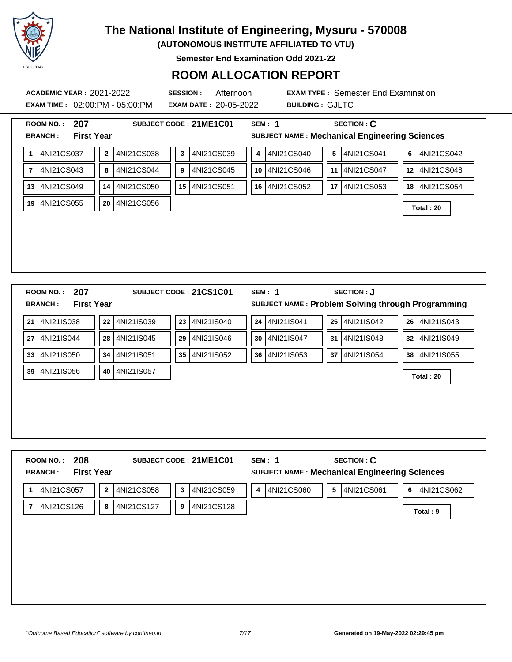

**(AUTONOMOUS INSTITUTE AFFILIATED TO VTU)**

**Semester End Examination Odd 2021-22**

### **ROOM ALLOCATION REPORT**

**EXAM TIME :** 02:00:PM - 05:00:PM **EXAM DATE :** 20-05-2022 **BUILDING :** GJLTC

**ACADEMIC YEAR :** 2021-2022 **SESSION :** Afternoon **EXAM TYPE :** Semester End Examination

|                | 207<br><b>ROOM NO.:</b><br><b>First Year</b><br><b>BRANCH:</b> |          |            |    | SUBJECT CODE: 21ME1C01 |    | <b>SEM: 1</b><br><b>SUBJECT NAME: Mechanical Engineering Sciences</b> |                 | <b>SECTION: C</b> |                 |            |
|----------------|----------------------------------------------------------------|----------|------------|----|------------------------|----|-----------------------------------------------------------------------|-----------------|-------------------|-----------------|------------|
| $\mathbf{1}$   | 4NI21CS037                                                     | $\bf{2}$ | 4NI21CS038 | 3  | 4NI21CS039             | 4  | 4NI21CS040                                                            | $5\phantom{.0}$ | 4NI21CS041        | 6               | 4NI21CS042 |
| $\overline{7}$ | 4NI21CS043                                                     | 8        | 4NI21CS044 | 9  | 4NI21CS045             | 10 | 4NI21CS046                                                            | 11              | 4NI21CS047        | 12 <sup>1</sup> | 4NI21CS048 |
| 13             | 4NI21CS049                                                     | 14       | 4NI21CS050 |    | 15 4NI21CS051          | 16 | 4NI21CS052                                                            | 17              | 4NI21CS053        | 18              | 4NI21CS054 |
| 19             | 4NI21CS055                                                     | 20       | 4NI21CS056 |    |                        |    |                                                                       |                 |                   |                 | Total: 20  |
|                |                                                                |          |            |    |                        |    |                                                                       |                 |                   |                 |            |
|                | 207<br><b>ROOM NO.:</b>                                        |          |            |    | SUBJECT CODE: 21CS1C01 |    | <b>SEM: 1</b>                                                         |                 | <b>SECTION: J</b> |                 |            |
|                | <b>First Year</b><br><b>BRANCH:</b>                            |          |            |    |                        |    | SUBJECT NAME: Problem Solving through Programming                     |                 |                   |                 |            |
| 21             | 4NI21IS038                                                     | 22       | 4NI21IS039 | 23 | 4NI21IS040             | 24 | 4NI21IS041                                                            | 25              | 4NI21IS042        | 26              | 4NI21IS043 |
|                |                                                                |          | 4NI21IS045 | 29 | 4NI21IS046             | 30 | 4NI21IS047                                                            | 31              | 4NI21IS048        | 32 <sub>2</sub> | 4NI21IS049 |
|                | 4NI21IS044                                                     | 28       |            |    |                        |    |                                                                       |                 |                   |                 |            |
|                | 4NI21IS050                                                     | 34       | 4NI21IS051 |    | 35 4NI21IS052          | 36 | 4NI21IS053                                                            | 37              | 4NI21IS054        | 38              | 4NI21IS055 |
| 27<br>33<br>39 | 4NI21IS056                                                     | 40       | 4NI21IS057 |    |                        |    |                                                                       |                 |                   |                 | Total: 20  |
|                |                                                                |          |            |    |                        |    |                                                                       |                 |                   |                 |            |

**1** 4NI21CS057 **2** 4NI21CS058 **3** 4NI21CS059 **4** 4NI21CS060 **5** 4NI21CS061 **6** 4NI21CS062 **<sup>7</sup>** 4NI21CS126 **<sup>8</sup>** 4NI21CS127 **<sup>9</sup>** 4NI21CS128 **Total : 9**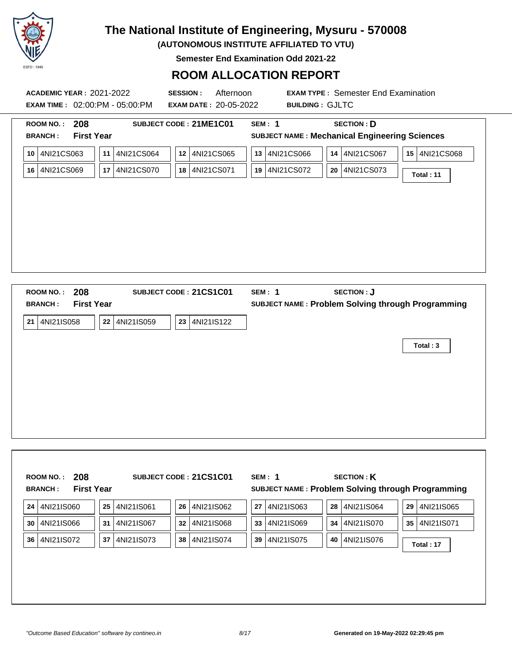

**(AUTONOMOUS INSTITUTE AFFILIATED TO VTU)**

**Semester End Examination Odd 2021-22**

### **ROOM ALLOCATION REPORT**

|                                                                | <b>ACADEMIC YEAR: 2021-2022</b><br><b>EXAM TIME : 02:00:PM - 05:00:PM</b> | Afternoon<br><b>SESSION:</b><br><b>EXAM DATE: 20-05-2022</b> | <b>BUILDING: GJLTC</b>               | <b>EXAM TYPE: Semester End Examination</b>                                |                              |
|----------------------------------------------------------------|---------------------------------------------------------------------------|--------------------------------------------------------------|--------------------------------------|---------------------------------------------------------------------------|------------------------------|
| 208<br><b>ROOM NO.:</b><br><b>First Year</b><br><b>BRANCH:</b> |                                                                           | SUBJECT CODE: 21ME1C01                                       | <b>SEM: 1</b>                        | <b>SECTION: D</b><br><b>SUBJECT NAME: Mechanical Engineering Sciences</b> |                              |
| 4NI21CS063<br>10<br>16 4NI21CS069                              | 4NI21CS064<br>11<br>4NI21CS070<br>17                                      | 4NI21CS065<br>12<br>4NI21CS071<br>18                         | 4NI21CS066<br>13<br>4NI21CS072<br>19 | 4NI21CS067<br>14<br>4NI21CS073<br>20                                      | 15   4NI21CS068<br>Total: 11 |
|                                                                |                                                                           |                                                              |                                      |                                                                           |                              |

**Total : 3**

|    | 208<br><b>ROOM NO.:</b><br><b>First Year</b><br><b>BRANCH:</b> |    |            |    | SUBJECT CODE: 21CS1C01 |    | SEM: 1<br>SUBJECT NAME: Problem Solving through Programming |    | <b>SECTION: K</b> |                 |            |
|----|----------------------------------------------------------------|----|------------|----|------------------------|----|-------------------------------------------------------------|----|-------------------|-----------------|------------|
| 24 | 4NI21IS060                                                     | 25 | 4NI21IS061 | 26 | 4NI21IS062             | 27 | 4NI21IS063                                                  | 28 | 4NI21IS064        | 29              | 4NI21IS065 |
| 30 | 4NI21IS066                                                     | 31 | 4NI21IS067 | 32 | 4NI21IS068             | 33 | 4NI21IS069                                                  | 34 | 4NI21IS070        | 35 <sup>1</sup> | 4NI21IS071 |
| 36 | 4NI21IS072                                                     | 37 | 4NI21IS073 | 38 | 4NI21IS074             | 39 | 4NI21IS075                                                  | 40 | 4NI21IS076        |                 | Total: 17  |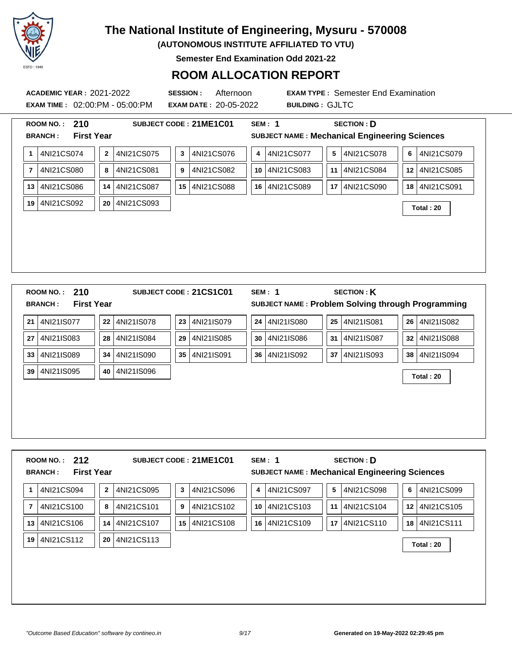

**(AUTONOMOUS INSTITUTE AFFILIATED TO VTU)**

**Semester End Examination Odd 2021-22**

### **ROOM ALLOCATION REPORT**

**EXAM TIME :** 02:00:PM - 05:00:PM **EXAM DATE :** 20-05-2022 **BUILDING :** GJLTC

| <b>First Year</b><br><b>SUBJECT NAME: Mechanical Engineering Sciences</b><br><b>BRANCH:</b><br>4NI21CS078<br>4NI21CS074<br>4NI21CS075<br>4NI21CS076<br>4NI21CS077<br>$\mathbf 2$<br>5<br>3<br>1<br>4<br>4NI21CS082<br>4NI21CS080<br>4NI21CS081<br>4NI21CS083<br>4NI21CS084<br>$\overline{7}$<br>8<br>10 <sup>°</sup><br>9<br>11<br>4NI21CS086<br>4NI21CS088<br>16 4NI21CS089<br>4NI21CS090<br>4NI21CS087<br>13<br>14<br>15 <sup>1</sup><br>17 | 4NI21CS079<br>6<br>12 4NI21CS085 |
|-----------------------------------------------------------------------------------------------------------------------------------------------------------------------------------------------------------------------------------------------------------------------------------------------------------------------------------------------------------------------------------------------------------------------------------------------|----------------------------------|
|                                                                                                                                                                                                                                                                                                                                                                                                                                               |                                  |
|                                                                                                                                                                                                                                                                                                                                                                                                                                               |                                  |
|                                                                                                                                                                                                                                                                                                                                                                                                                                               |                                  |
|                                                                                                                                                                                                                                                                                                                                                                                                                                               | 18 4NI21CS091                    |
| 4NI21CS092<br>4NI21CS093<br>19<br>20                                                                                                                                                                                                                                                                                                                                                                                                          | Total: 20                        |
|                                                                                                                                                                                                                                                                                                                                                                                                                                               |                                  |
|                                                                                                                                                                                                                                                                                                                                                                                                                                               |                                  |
|                                                                                                                                                                                                                                                                                                                                                                                                                                               |                                  |
|                                                                                                                                                                                                                                                                                                                                                                                                                                               |                                  |
|                                                                                                                                                                                                                                                                                                                                                                                                                                               |                                  |
|                                                                                                                                                                                                                                                                                                                                                                                                                                               |                                  |
|                                                                                                                                                                                                                                                                                                                                                                                                                                               |                                  |
|                                                                                                                                                                                                                                                                                                                                                                                                                                               |                                  |
|                                                                                                                                                                                                                                                                                                                                                                                                                                               |                                  |
|                                                                                                                                                                                                                                                                                                                                                                                                                                               |                                  |
|                                                                                                                                                                                                                                                                                                                                                                                                                                               |                                  |
| 210<br><b>SECTION: K</b><br><b>SEM: 1</b><br><b>ROOM NO.:</b><br>SUBJECT CODE: 21CS1C01                                                                                                                                                                                                                                                                                                                                                       |                                  |
| <b>First Year</b><br>SUBJECT NAME: Problem Solving through Programming<br><b>BRANCH:</b>                                                                                                                                                                                                                                                                                                                                                      |                                  |
|                                                                                                                                                                                                                                                                                                                                                                                                                                               |                                  |
| 4NI21IS077<br>4NI21IS080<br>4NI21IS081<br>4NI21IS078<br>4NI21IS079<br>24<br>25<br>21<br>22<br>23                                                                                                                                                                                                                                                                                                                                              | 26 4NI21IS082                    |
|                                                                                                                                                                                                                                                                                                                                                                                                                                               |                                  |
| 4NI21IS083<br>4NI21IS084<br>4NI21IS085<br>4NI21IS086<br>4NI21IS087<br>28<br>30<br>27<br>29<br>31                                                                                                                                                                                                                                                                                                                                              | 32 4NI21IS088                    |
|                                                                                                                                                                                                                                                                                                                                                                                                                                               |                                  |
| 4NI21IS091<br>4NI21IS089<br>4NI21IS090<br>4NI21IS092<br>4NI21IS093<br>33<br>34<br>36<br>37<br>35                                                                                                                                                                                                                                                                                                                                              | 38 4NI21IS094                    |
|                                                                                                                                                                                                                                                                                                                                                                                                                                               |                                  |
| 4NI21IS095<br>4NI21IS096<br>39<br>40                                                                                                                                                                                                                                                                                                                                                                                                          | Total: 20                        |

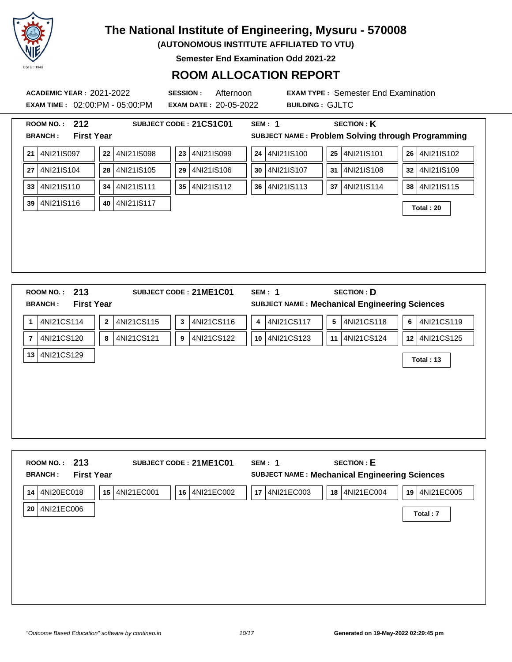

**(AUTONOMOUS INSTITUTE AFFILIATED TO VTU)**

**Semester End Examination Odd 2021-22**

#### **ROOM ALLOCATION REPORT**

**EXAM TIME :** 02:00:PM - 05:00:PM **EXAM DATE :** 20-05-2022 **BUILDING :** GJLTC

| <b>First Year</b><br><b>BRANCH:</b><br>4NI21IS101<br>4NI21IS097<br>4NI21IS100<br>$25\phantom{.0}$<br>4NI21IS102<br>${\bf 22}$<br>4NI21IS098<br>23<br>4NI21IS099<br>24<br>26<br>21<br>4NI21IS105<br>4NI21IS108<br>4NI21IS109<br>4NI21IS104<br>4NI21IS106<br>4NI21IS107<br>28<br>27<br>29<br>30<br>31<br>32<br>4NI21IS110<br>4NI21IS111<br>4NI21IS112<br>4NI21IS113<br>4NI21IS114<br>4NI21IS115<br>34<br>37<br>33<br>35<br>36<br>38<br>4NI21IS116<br>4NI21IS117<br>39<br>40<br>Total: 20<br>213<br><b>SECTION: D</b><br><b>SEM: 1</b><br><b>ROOM NO.:</b><br>SUBJECT CODE: 21ME1C01<br><b>First Year</b><br><b>SUBJECT NAME: Mechanical Engineering Sciences</b><br><b>BRANCH:</b><br>4NI21CS114<br>4NI21CS115<br>4NI21CS116<br>4NI21CS117<br>$\overline{\mathbf{5}}$<br>4NI21CS118<br>4NI21CS119<br>$\overline{2}$<br>$\overline{\mathbf{3}}$<br>$\overline{\mathbf{4}}$<br>6<br>1<br>4NI21CS120<br>4NI21CS121<br>4NI21CS122<br>4NI21CS123<br>4NI21CS124<br>4NI21CS125<br>11<br>8<br>9<br>10<br>12<br>7 | SUBJECT NAME: Problem Solving through Programming<br>4NI21CS129<br>Total: 13 | 212<br><b>ROOM NO.:</b> |  | SUBJECT CODE: 21CS1C01 | <b>SEM: 1</b> |  | <b>SECTION: K</b> |  |
|--------------------------------------------------------------------------------------------------------------------------------------------------------------------------------------------------------------------------------------------------------------------------------------------------------------------------------------------------------------------------------------------------------------------------------------------------------------------------------------------------------------------------------------------------------------------------------------------------------------------------------------------------------------------------------------------------------------------------------------------------------------------------------------------------------------------------------------------------------------------------------------------------------------------------------------------------------------------------------------------------------|------------------------------------------------------------------------------|-------------------------|--|------------------------|---------------|--|-------------------|--|
|                                                                                                                                                                                                                                                                                                                                                                                                                                                                                                                                                                                                                                                                                                                                                                                                                                                                                                                                                                                                        |                                                                              |                         |  |                        |               |  |                   |  |
|                                                                                                                                                                                                                                                                                                                                                                                                                                                                                                                                                                                                                                                                                                                                                                                                                                                                                                                                                                                                        |                                                                              |                         |  |                        |               |  |                   |  |
|                                                                                                                                                                                                                                                                                                                                                                                                                                                                                                                                                                                                                                                                                                                                                                                                                                                                                                                                                                                                        |                                                                              |                         |  |                        |               |  |                   |  |
|                                                                                                                                                                                                                                                                                                                                                                                                                                                                                                                                                                                                                                                                                                                                                                                                                                                                                                                                                                                                        |                                                                              |                         |  |                        |               |  |                   |  |
|                                                                                                                                                                                                                                                                                                                                                                                                                                                                                                                                                                                                                                                                                                                                                                                                                                                                                                                                                                                                        |                                                                              |                         |  |                        |               |  |                   |  |
|                                                                                                                                                                                                                                                                                                                                                                                                                                                                                                                                                                                                                                                                                                                                                                                                                                                                                                                                                                                                        |                                                                              |                         |  |                        |               |  |                   |  |
|                                                                                                                                                                                                                                                                                                                                                                                                                                                                                                                                                                                                                                                                                                                                                                                                                                                                                                                                                                                                        |                                                                              |                         |  |                        |               |  |                   |  |
|                                                                                                                                                                                                                                                                                                                                                                                                                                                                                                                                                                                                                                                                                                                                                                                                                                                                                                                                                                                                        |                                                                              |                         |  |                        |               |  |                   |  |
|                                                                                                                                                                                                                                                                                                                                                                                                                                                                                                                                                                                                                                                                                                                                                                                                                                                                                                                                                                                                        |                                                                              |                         |  |                        |               |  |                   |  |
|                                                                                                                                                                                                                                                                                                                                                                                                                                                                                                                                                                                                                                                                                                                                                                                                                                                                                                                                                                                                        |                                                                              |                         |  |                        |               |  |                   |  |
|                                                                                                                                                                                                                                                                                                                                                                                                                                                                                                                                                                                                                                                                                                                                                                                                                                                                                                                                                                                                        |                                                                              |                         |  |                        |               |  |                   |  |
|                                                                                                                                                                                                                                                                                                                                                                                                                                                                                                                                                                                                                                                                                                                                                                                                                                                                                                                                                                                                        |                                                                              |                         |  |                        |               |  |                   |  |
|                                                                                                                                                                                                                                                                                                                                                                                                                                                                                                                                                                                                                                                                                                                                                                                                                                                                                                                                                                                                        |                                                                              |                         |  |                        |               |  |                   |  |
|                                                                                                                                                                                                                                                                                                                                                                                                                                                                                                                                                                                                                                                                                                                                                                                                                                                                                                                                                                                                        |                                                                              |                         |  |                        |               |  |                   |  |
|                                                                                                                                                                                                                                                                                                                                                                                                                                                                                                                                                                                                                                                                                                                                                                                                                                                                                                                                                                                                        |                                                                              |                         |  |                        |               |  |                   |  |
|                                                                                                                                                                                                                                                                                                                                                                                                                                                                                                                                                                                                                                                                                                                                                                                                                                                                                                                                                                                                        |                                                                              |                         |  |                        |               |  |                   |  |
|                                                                                                                                                                                                                                                                                                                                                                                                                                                                                                                                                                                                                                                                                                                                                                                                                                                                                                                                                                                                        |                                                                              |                         |  |                        |               |  |                   |  |
|                                                                                                                                                                                                                                                                                                                                                                                                                                                                                                                                                                                                                                                                                                                                                                                                                                                                                                                                                                                                        |                                                                              |                         |  |                        |               |  |                   |  |
|                                                                                                                                                                                                                                                                                                                                                                                                                                                                                                                                                                                                                                                                                                                                                                                                                                                                                                                                                                                                        |                                                                              |                         |  |                        |               |  |                   |  |
|                                                                                                                                                                                                                                                                                                                                                                                                                                                                                                                                                                                                                                                                                                                                                                                                                                                                                                                                                                                                        |                                                                              |                         |  |                        |               |  |                   |  |
|                                                                                                                                                                                                                                                                                                                                                                                                                                                                                                                                                                                                                                                                                                                                                                                                                                                                                                                                                                                                        |                                                                              |                         |  |                        |               |  |                   |  |
|                                                                                                                                                                                                                                                                                                                                                                                                                                                                                                                                                                                                                                                                                                                                                                                                                                                                                                                                                                                                        |                                                                              |                         |  |                        |               |  |                   |  |
|                                                                                                                                                                                                                                                                                                                                                                                                                                                                                                                                                                                                                                                                                                                                                                                                                                                                                                                                                                                                        |                                                                              |                         |  |                        |               |  |                   |  |
|                                                                                                                                                                                                                                                                                                                                                                                                                                                                                                                                                                                                                                                                                                                                                                                                                                                                                                                                                                                                        |                                                                              |                         |  |                        |               |  |                   |  |
|                                                                                                                                                                                                                                                                                                                                                                                                                                                                                                                                                                                                                                                                                                                                                                                                                                                                                                                                                                                                        |                                                                              |                         |  |                        |               |  |                   |  |
|                                                                                                                                                                                                                                                                                                                                                                                                                                                                                                                                                                                                                                                                                                                                                                                                                                                                                                                                                                                                        |                                                                              |                         |  |                        |               |  |                   |  |
|                                                                                                                                                                                                                                                                                                                                                                                                                                                                                                                                                                                                                                                                                                                                                                                                                                                                                                                                                                                                        |                                                                              |                         |  |                        |               |  |                   |  |
|                                                                                                                                                                                                                                                                                                                                                                                                                                                                                                                                                                                                                                                                                                                                                                                                                                                                                                                                                                                                        |                                                                              |                         |  |                        |               |  |                   |  |
|                                                                                                                                                                                                                                                                                                                                                                                                                                                                                                                                                                                                                                                                                                                                                                                                                                                                                                                                                                                                        |                                                                              |                         |  |                        |               |  |                   |  |
|                                                                                                                                                                                                                                                                                                                                                                                                                                                                                                                                                                                                                                                                                                                                                                                                                                                                                                                                                                                                        |                                                                              |                         |  |                        |               |  |                   |  |
|                                                                                                                                                                                                                                                                                                                                                                                                                                                                                                                                                                                                                                                                                                                                                                                                                                                                                                                                                                                                        |                                                                              | 13                      |  |                        |               |  |                   |  |
|                                                                                                                                                                                                                                                                                                                                                                                                                                                                                                                                                                                                                                                                                                                                                                                                                                                                                                                                                                                                        |                                                                              |                         |  |                        |               |  |                   |  |
|                                                                                                                                                                                                                                                                                                                                                                                                                                                                                                                                                                                                                                                                                                                                                                                                                                                                                                                                                                                                        |                                                                              |                         |  |                        |               |  |                   |  |
|                                                                                                                                                                                                                                                                                                                                                                                                                                                                                                                                                                                                                                                                                                                                                                                                                                                                                                                                                                                                        |                                                                              |                         |  |                        |               |  |                   |  |

| 213<br><b>ROOM NO.:</b><br><b>First Year</b><br><b>BRANCH:</b> | SUBJECT CODE: 21ME1C01               | <b>SECTION: E</b><br>SEM: 1<br>SUBJECT NAME : Mechanical Engineering Sciences |                  |
|----------------------------------------------------------------|--------------------------------------|-------------------------------------------------------------------------------|------------------|
| 4NI20EC018<br>14                                               | 4NI21EC001<br>4NI21EC002<br>15<br>16 | 4NI21EC004<br>4NI21EC003<br>17<br>18                                          | 4NI21EC005<br>19 |
| 4NI21EC006<br>20                                               |                                      |                                                                               | Total: 7         |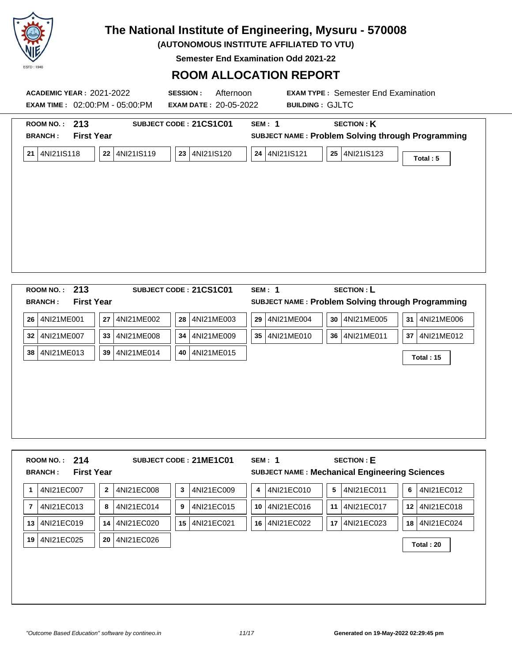

**(AUTONOMOUS INSTITUTE AFFILIATED TO VTU)**

**Semester End Examination Odd 2021-22**

## **ROOM ALLOCATION REPORT**

| <b>ACADEMIC YEAR: 2021-2022</b><br><b>EXAM TIME : 02:00:PM - 05:00:PM</b>                    | <b>SESSION:</b><br>Afternoon<br><b>EXAM DATE: 20-05-2022</b> | <b>EXAM TYPE: Semester End Examination</b><br><b>BUILDING: GJLTC</b>                                                                                |
|----------------------------------------------------------------------------------------------|--------------------------------------------------------------|-----------------------------------------------------------------------------------------------------------------------------------------------------|
| ROOM NO.: 213<br><b>First Year</b><br><b>BRANCH:</b><br>4NI21IS118<br>22<br>4NI21IS119<br>21 | SUBJECT CODE: 21CS1C01<br>23<br>4NI21IS120                   | <b>SECTION: K</b><br><b>SEM: 1</b><br>SUBJECT NAME: Problem Solving through Programming<br>24 4NI21IS121<br>25<br>4NI21IS123<br>Total: 5            |
| ROOM NO.: 213<br><b>First Year</b><br><b>BRANCH:</b><br>4NI21ME001<br>27<br>4NI21ME002<br>26 | SUBJECT CODE: 21CS1C01<br>4NI21ME003<br>28                   | <b>SECTION: L</b><br><b>SEM: 1</b><br>SUBJECT NAME: Problem Solving through Programming<br>30<br>31<br>29<br>4NI21ME004<br>4NI21ME005<br>4NI21ME006 |

|   | ROOM NO.: $214$<br><b>First Year</b><br><b>BRANCH:</b> | <b>SECTION: E</b><br>SUBJECT CODE: 21ME1C01<br>SEM: 1<br><b>SUBJECT NAME: Mechanical Engineering Sciences</b> |  |
|---|--------------------------------------------------------|---------------------------------------------------------------------------------------------------------------|--|
| 1 | 4NI21EC007                                             | 4NI21EC011<br>4NI21EC009<br>4NI21EC010<br>5 <sup>1</sup><br>4NI21EC012<br>4NI21EC008<br>6<br>3<br>4           |  |

**32** 4NI21ME007 **33** 4NI21ME008 **34** 4NI21ME009 **35** 4NI21ME010 **36** 4NI21ME011 **37** 4NI21ME012

**<sup>38</sup>** 4NI21ME013 **<sup>39</sup>** 4NI21ME014 **<sup>40</sup>** 4NI21ME015 **Total : 15**

|    | 4NI21EC013    | 8  | 4NI21EC014 | 9 | 4NI21EC015    | 10 4NI21EC016 |    | 11 4NI21EC017  | 12 4NI21EC018 |
|----|---------------|----|------------|---|---------------|---------------|----|----------------|---------------|
|    | 13 4NI21EC019 | 14 | 4NI21EC020 |   | 15 4NI21EC021 | 16 4NI21EC022 | 17 | '   4NI21EC023 | 18 4NI21EC024 |
| 19 | 4NI21EC025    | 20 | 4NI21EC026 |   |               |               |    |                | Total: 20     |
|    |               |    |            |   |               |               |    |                |               |
|    |               |    |            |   |               |               |    |                |               |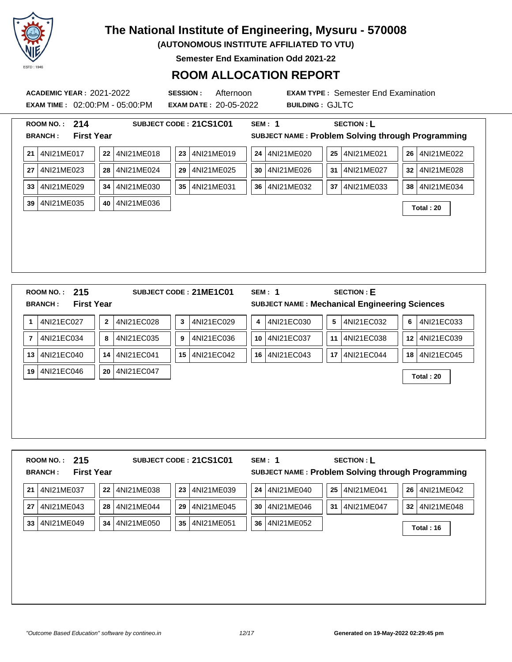

**(AUTONOMOUS INSTITUTE AFFILIATED TO VTU)**

**Semester End Examination Odd 2021-22**

### **ROOM ALLOCATION REPORT**

**ACADEMIC YEAR :** 2021-2022 **SESSION :** Afternoon **EXAM TYPE :** Semester End Examination **EXAM TIME :** 02:00:PM - 05:00:PM **EXAM DATE :** 20-05-2022 **BUILDING :** GJLTC

|                | 214<br><b>SECTION: L</b><br><b>ROOM NO.:</b><br>SUBJECT CODE: 21CS1C01<br><b>SEM: 1</b><br><b>First Year</b><br>SUBJECT NAME: Problem Solving through Programming<br><b>BRANCH:</b> |                |            |                 |                        |    |               |  |                |                                                      |  |                                |
|----------------|-------------------------------------------------------------------------------------------------------------------------------------------------------------------------------------|----------------|------------|-----------------|------------------------|----|---------------|--|----------------|------------------------------------------------------|--|--------------------------------|
|                |                                                                                                                                                                                     |                |            |                 |                        |    |               |  |                |                                                      |  |                                |
| 21             | 4NI21ME017                                                                                                                                                                          | 22             | 4NI21ME018 | 23              | 4NI21ME019             | 24 | 4NI21ME020    |  | 25             | 4NI21ME021                                           |  | 4NI21ME022<br>26               |
| 27             | 4NI21ME023                                                                                                                                                                          | 28             | 4NI21ME024 | 29              | 4NI21ME025             | 30 | 4NI21ME026    |  | 31             | 4NI21ME027                                           |  | 4NI21ME028<br>32               |
| 33             | 4NI21ME029                                                                                                                                                                          | 34             | 4NI21ME030 | 35              | 4NI21ME031             | 36 | 4NI21ME032    |  | 37             | 4NI21ME033                                           |  | 4NI21ME034<br>38 <sup>1</sup>  |
| 39             | 4NI21ME035                                                                                                                                                                          | 40             | 4NI21ME036 |                 |                        |    |               |  |                |                                                      |  | Total: 20                      |
|                |                                                                                                                                                                                     |                |            |                 |                        |    |               |  |                |                                                      |  |                                |
|                |                                                                                                                                                                                     |                |            |                 |                        |    |               |  |                |                                                      |  |                                |
|                |                                                                                                                                                                                     |                |            |                 |                        |    |               |  |                |                                                      |  |                                |
|                |                                                                                                                                                                                     |                |            |                 |                        |    |               |  |                |                                                      |  |                                |
|                |                                                                                                                                                                                     |                |            |                 |                        |    |               |  |                |                                                      |  |                                |
|                |                                                                                                                                                                                     |                |            |                 |                        |    |               |  |                |                                                      |  |                                |
|                | 215<br><b>ROOM NO.:</b>                                                                                                                                                             |                |            |                 | SUBJECT CODE: 21ME1C01 |    | <b>SEM: 1</b> |  |                | <b>SECTION: E</b>                                    |  |                                |
|                | <b>First Year</b><br><b>BRANCH:</b>                                                                                                                                                 |                |            |                 |                        |    |               |  |                | <b>SUBJECT NAME: Mechanical Engineering Sciences</b> |  |                                |
| 1              | 4NI21EC027                                                                                                                                                                          | $\overline{2}$ | 4NI21EC028 | 3               | 4NI21EC029             | 4  | 4NI21EC030    |  | $5\phantom{a}$ | 4NI21EC032                                           |  | 4NI21EC033<br>6                |
| $\overline{7}$ | 4NI21EC034                                                                                                                                                                          | 8              | 4NI21EC035 | 9               | 4NI21EC036             | 10 | 4NI21EC037    |  | 11             | 4NI21EC038                                           |  | 4NI21EC039<br>12 <sup>12</sup> |
| 13             | 4NI21EC040                                                                                                                                                                          | 14             | 4NI21EC041 | 15 <sup>1</sup> | 4NI21EC042             | 16 | 4NI21EC043    |  | 17             | 4NI21EC044                                           |  | 4NI21EC045<br>18 <sup>1</sup>  |
| 19             | 4NI21EC046                                                                                                                                                                          | 20             | 4NI21EC047 |                 |                        |    |               |  |                |                                                      |  |                                |
|                |                                                                                                                                                                                     |                |            |                 |                        |    |               |  |                |                                                      |  | Total: 20                      |
|                |                                                                                                                                                                                     |                |            |                 |                        |    |               |  |                |                                                      |  |                                |
|                |                                                                                                                                                                                     |                |            |                 |                        |    |               |  |                |                                                      |  |                                |

| 215<br><b>ROOM NO.:</b><br><b>First Year</b><br><b>BRANCH:</b> |                  | SUBJECT CODE: 21CS1C01 | SEM: 1           | <b>SECTION: L</b><br>SUBJECT NAME: Problem Solving through Programming |                  |
|----------------------------------------------------------------|------------------|------------------------|------------------|------------------------------------------------------------------------|------------------|
| 4NI21ME037<br>21                                               | 22<br>4NI21ME038 | 23<br>4NI21ME039       | 24<br>4NI21ME040 | 4NI21ME041<br>25                                                       | 4NI21ME042<br>26 |
| 4NI21ME043<br>27                                               | 28<br>4NI21ME044 | 29<br>4NI21ME045       | 30<br>4NI21ME046 | 4NI21ME047<br>31                                                       | 4NI21ME048<br>32 |
| 33<br>4NI21ME049                                               | 34<br>4NI21ME050 | 35<br>4NI21ME051       | 36<br>4NI21ME052 |                                                                        | Total: 16        |
|                                                                |                  |                        |                  |                                                                        |                  |
|                                                                |                  |                        |                  |                                                                        |                  |
|                                                                |                  |                        |                  |                                                                        |                  |
|                                                                |                  |                        |                  |                                                                        |                  |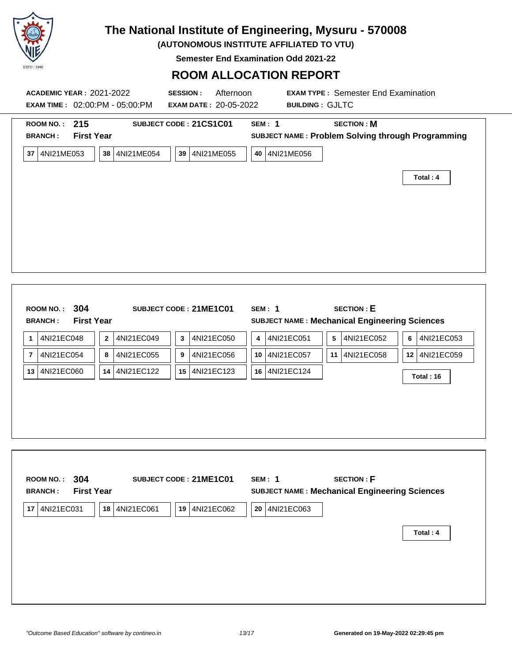

**(AUTONOMOUS INSTITUTE AFFILIATED TO VTU)**

**Semester End Examination Odd 2021-22**

#### **ROOM ALLOCATION REPORT**

| <b>BRANCH:</b>                     | ROOM NO.: 215<br><b>First Year</b> |              |               |              | SUBJECT CODE: 21CS1C01 |            | <b>SEM: 1</b> |    | <b>SECTION: M</b><br>SUBJECT NAME: Problem Solving through Programming    |   |               |
|------------------------------------|------------------------------------|--------------|---------------|--------------|------------------------|------------|---------------|----|---------------------------------------------------------------------------|---|---------------|
| 37 4NI21ME053                      |                                    |              | 38 4NI21ME054 |              | 39 4NI21ME055          |            | 40 4NI21ME056 |    |                                                                           |   | Total: 4      |
|                                    |                                    |              |               |              |                        |            |               |    |                                                                           |   |               |
|                                    |                                    |              |               |              |                        |            |               |    |                                                                           |   |               |
|                                    |                                    |              |               |              |                        |            |               |    |                                                                           |   |               |
| <b>ROOM NO.:</b><br><b>BRANCH:</b> | 304<br><b>First Year</b>           |              |               |              | SUBJECT CODE: 21ME1C01 |            | <b>SEM: 1</b> |    | <b>SECTION: E</b><br><b>SUBJECT NAME: Mechanical Engineering Sciences</b> |   |               |
| 4NI21EC048<br>1                    |                                    | $\mathbf{2}$ | 4NI21EC049    | $\mathbf{3}$ | 4NI21EC050             | 4          | 4NI21EC051    | 5  | 4NI21EC052                                                                | 6 | 4NI21EC053    |
| 4NI21EC054<br>$\overline{7}$       |                                    | 8            | 4NI21EC055    | 9            | 4NI21EC056             | 10         | 4NI21EC057    | 11 | 4NI21EC058                                                                |   | 12 4NI21EC059 |
| 4NI21EC060<br>13                   |                                    |              | 14 4NI21EC122 |              | 15 4NI21EC123          |            | 16 4NI21EC124 |    |                                                                           |   | Total: 16     |
|                                    |                                    |              |               |              |                        |            |               |    |                                                                           |   |               |
| ROOM NO.:<br><b>BRANCH:</b>        | 304<br><b>First Year</b>           |              |               |              | SUBJECT CODE: 21ME1C01 |            | <b>SEM: 1</b> |    | <b>SECTION: F</b><br><b>SUBJECT NAME: Mechanical Engineering Sciences</b> |   |               |
| 17 4NI21EC031                      |                                    |              | 18 4NI21EC061 | 19           | 4NI21EC062             | ${\bf 20}$ | 4NI21EC063    |    |                                                                           |   |               |
|                                    |                                    |              |               |              |                        |            |               |    |                                                                           |   |               |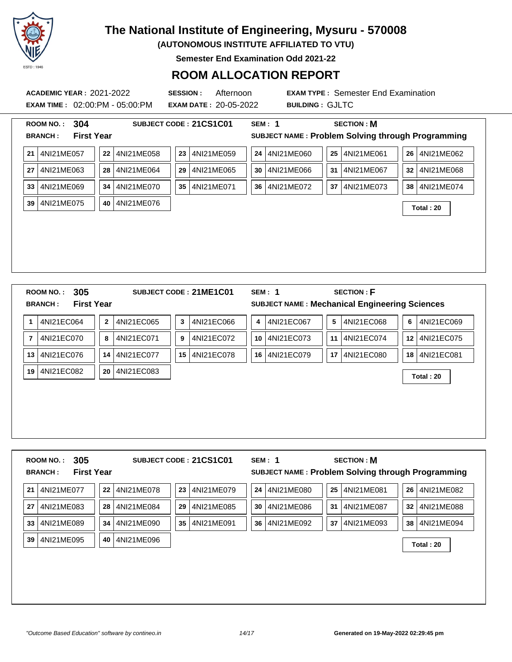

**(AUTONOMOUS INSTITUTE AFFILIATED TO VTU)**

**Semester End Examination Odd 2021-22**

#### **ROOM ALLOCATION REPORT**

**EXAM TIME :** 02:00:PM - 05:00:PM **EXAM DATE :** 20-05-2022 **BUILDING :** GJLTC

|                | <b>ROOM NO.:</b> | 304               |          |            |                 | SUBJECT CODE: 21CS1C01 |    | <b>SEM: 1</b> |        | <b>SECTION: M</b>                                    |      |            |
|----------------|------------------|-------------------|----------|------------|-----------------|------------------------|----|---------------|--------|------------------------------------------------------|------|------------|
|                | <b>BRANCH:</b>   | <b>First Year</b> |          |            |                 |                        |    |               |        | SUBJECT NAME: Problem Solving through Programming    |      |            |
| 21             | 4NI21ME057       |                   | 22       | 4NI21ME058 | 23              | 4NI21ME059             | 24 | 4NI21ME060    | $25\,$ | 4NI21ME061                                           | 26   | 4NI21ME062 |
| 27             | 4NI21ME063       |                   | 28       | 4NI21ME064 | 29              | 4NI21ME065             | 30 | 4NI21ME066    | 31     | 4NI21ME067                                           | 32   | 4NI21ME068 |
| 33             | 4NI21ME069       |                   | 34       | 4NI21ME070 | 35              | 4NI21ME071             | 36 | 4NI21ME072    | 37     | 4NI21ME073                                           | 38   | 4NI21ME074 |
| 39             | 4NI21ME075       |                   | 40       | 4NI21ME076 |                 |                        |    |               |        |                                                      |      | Total: 20  |
|                |                  |                   |          |            |                 |                        |    |               |        |                                                      |      |            |
|                |                  |                   |          |            |                 |                        |    |               |        |                                                      |      |            |
|                |                  |                   |          |            |                 |                        |    |               |        |                                                      |      |            |
|                |                  |                   |          |            |                 |                        |    |               |        |                                                      |      |            |
|                |                  |                   |          |            |                 |                        |    |               |        |                                                      |      |            |
|                |                  |                   |          |            |                 |                        |    |               |        |                                                      |      |            |
|                | <b>ROOM NO.:</b> | 305               |          |            |                 | SUBJECT CODE: 21ME1C01 |    | <b>SEM: 1</b> |        | <b>SECTION: F</b>                                    |      |            |
|                | <b>BRANCH:</b>   | <b>First Year</b> |          |            |                 |                        |    |               |        | <b>SUBJECT NAME: Mechanical Engineering Sciences</b> |      |            |
| $\mathbf{1}$   | 4NI21EC064       |                   | $\bf{2}$ | 4NI21EC065 | 3               | 4NI21EC066             | 4  | 4NI21EC067    | 5      | 4NI21EC068                                           | 6    | 4NI21EC069 |
| $\overline{7}$ | 4NI21EC070       |                   | 8        | 4NI21EC071 | 9               | 4NI21EC072             | 10 | 4NI21EC073    | 11     | 4NI21EC074                                           | 12   | 4NI21EC075 |
| 13             | 4NI21EC076       |                   | 14       | 4NI21EC077 | 15 <sup>1</sup> | 4NI21EC078             |    | 16 4NI21EC079 | 17     | 4NI21EC080                                           | 18 I | 4NI21EC081 |
| 19             | 4NI21EC082       |                   | 20       | 4NI21EC083 |                 |                        |    |               |        |                                                      |      |            |
|                |                  |                   |          |            |                 |                        |    |               |        |                                                      |      | Total: 20  |
|                |                  |                   |          |            |                 |                        |    |               |        |                                                      |      |            |
|                |                  |                   |          |            |                 |                        |    |               |        |                                                      |      |            |
|                |                  |                   |          |            |                 |                        |    |               |        |                                                      |      |            |

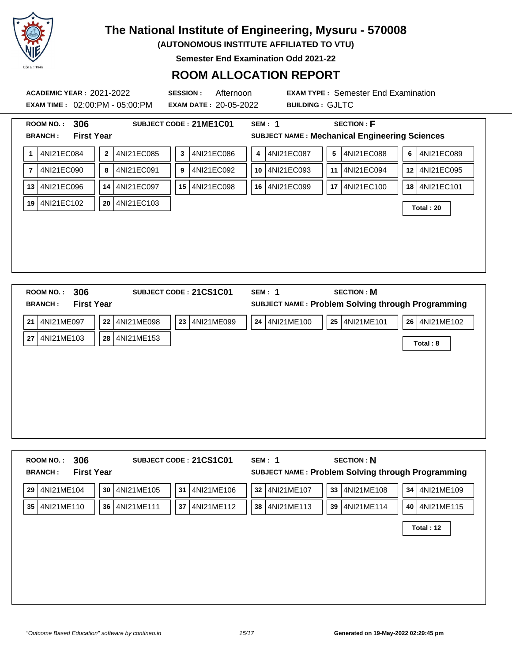

**(AUTONOMOUS INSTITUTE AFFILIATED TO VTU)**

**Semester End Examination Odd 2021-22**

### **ROOM ALLOCATION REPORT**

**ACADEMIC YEAR :** 2021-2022 **SESSION :** Afternoon **EXAM TYPE :** Semester End Examination **EXAM TIME :** 02:00:PM - 05:00:PM **EXAM DATE :** 20-05-2022 **BUILDING :** GJLTC

| 4NI21EC084<br>1              | $\overline{2}$<br>4NI21EC085 | 4NI21EC086<br>$\mathbf{3}$ | 4NI21EC087<br>4 | 4NI21EC088<br>5  | 4NI21EC089<br>6               |
|------------------------------|------------------------------|----------------------------|-----------------|------------------|-------------------------------|
| 4NI21EC090<br>$\overline{7}$ | 4NI21EC091<br>8              | 4NI21EC092<br>9            | 10 4NI21EC093   | 4NI21EC094<br>11 | 4NI21EC095<br>12 <sup>2</sup> |
| 4NI21EC096<br>13             | 4NI21EC097<br>14             | 4NI21EC098<br>15           | 16 4NI21EC099   | 4NI21EC100<br>17 | 4NI21EC101<br>18              |
| 19<br>4NI21EC102             | 4NI21EC103<br>20             |                            |                 |                  | Total: 20                     |
|                              |                              |                            |                 |                  |                               |
|                              |                              |                            |                 |                  |                               |
|                              |                              |                            |                 |                  |                               |
|                              |                              |                            |                 |                  |                               |

| <b>BRANCH:</b>   | <b>First Year</b>                 | SUBJECT NAME: Problem Solving through Programming     |
|------------------|-----------------------------------|-------------------------------------------------------|
| 21<br>4NI21ME097 | 23 4NI21ME099<br>22<br>4NI21ME098 | 24 4NI21ME100<br>26   4NI21ME102<br>25 <br>4NI21ME101 |
| 4NI21ME103<br>27 | 28<br>4NI21ME153                  | Total: 8                                              |
|                  |                                   |                                                       |
|                  |                                   |                                                       |
|                  |                                   |                                                       |
|                  |                                   |                                                       |
|                  |                                   |                                                       |

| 306<br><b>ROOM NO.:</b><br><b>First Year</b><br><b>BRANCH:</b> | SUBJECT CODE: 21CS1C01               | <b>SECTION: N</b><br>SEM: 1<br>SUBJECT NAME: Problem Solving through Programming |                               |
|----------------------------------------------------------------|--------------------------------------|----------------------------------------------------------------------------------|-------------------------------|
| 4NI21ME104<br>29                                               | 30<br>4NI21ME105<br>31<br>4NI21ME106 | 33 4NI21ME108<br>32<br>4NI21ME107                                                | 4NI21ME109<br>34 <sup>1</sup> |
| 35 4NI21ME110                                                  | 4NI21ME111<br>37<br>36<br>4NI21ME112 | 38<br>4NI21ME113<br>39<br>4NI21ME114                                             | 4NI21ME115<br>40              |
|                                                                |                                      |                                                                                  | Total: 12                     |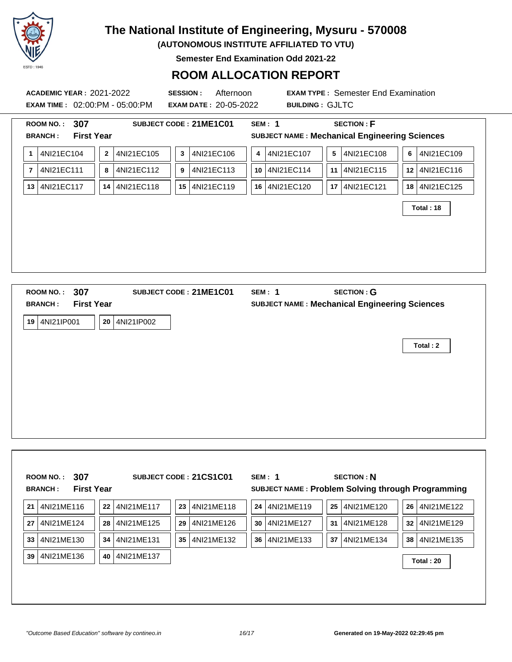

**(AUTONOMOUS INSTITUTE AFFILIATED TO VTU)**

**Semester End Examination Odd 2021-22**

#### **ROOM ALLOCATION REPORT**

| <b>ACADEMIC YEAR: 2021-2022</b><br>EXAM TIME: 02:00:PM - 05:00:PM<br><b>ROOM NO.:</b>                                         |  |  |                                        |  |                          |  |                     | <b>SESSION:</b><br>Afternoon<br><b>EXAM DATE: 20-05-2022</b> |  |               |                                             | <b>BUILDING: GJLTC</b> |                                    | <b>EXAM TYPE: Semester End Examination</b>     |                                                                     |                                                                           |   |                                                           |  |
|-------------------------------------------------------------------------------------------------------------------------------|--|--|----------------------------------------|--|--------------------------|--|---------------------|--------------------------------------------------------------|--|---------------|---------------------------------------------|------------------------|------------------------------------|------------------------------------------------|---------------------------------------------------------------------|---------------------------------------------------------------------------|---|-----------------------------------------------------------|--|
| <b>BRANCH:</b>                                                                                                                |  |  |                                        |  | 307<br><b>First Year</b> |  |                     |                                                              |  |               | SUBJECT CODE: 21ME1C01                      |                        | <b>SEM: 1</b>                      |                                                |                                                                     | <b>SECTION: F</b><br><b>SUBJECT NAME: Mechanical Engineering Sciences</b> |   |                                                           |  |
| 1<br>$\overline{7}$<br>13                                                                                                     |  |  | 4NI21EC104<br>4NI21EC111<br>4NI21EC117 |  |                          |  | $\bf{2}$<br>8<br>14 | 4NI21EC105<br>4NI21EC112<br>4NI21EC118                       |  | 3<br>9        | 4NI21EC106<br>4NI21EC113<br>15   4NI21EC119 |                        | 4                                  | 4NI21EC107<br>10   4NI21EC114<br>16 4NI21EC120 | 5                                                                   | 4NI21EC108<br>11   4NI21EC115<br>17   4NI21EC121                          | 6 | 4NI21EC109<br>12 4NI21EC116<br>18 4NI21EC125<br>Total: 18 |  |
| <b>ROOM NO.:</b><br><b>BRANCH:</b><br>19                                                                                      |  |  | 4NI21IP001                             |  | 307<br><b>First Year</b> |  |                     | 20 4NI21IP002                                                |  |               | SUBJECT CODE: 21ME1C01                      |                        | <b>SEM: 1</b>                      |                                                |                                                                     | <b>SECTION: G</b><br><b>SUBJECT NAME: Mechanical Engineering Sciences</b> |   | Total: 2                                                  |  |
|                                                                                                                               |  |  |                                        |  |                          |  |                     |                                                              |  |               |                                             |                        |                                    |                                                |                                                                     |                                                                           |   |                                                           |  |
| 307<br>SUBJECT CODE: 21CS1C01<br><b>ROOM NO.:</b><br><b>First Year</b><br><b>BRANCH:</b><br>22 4NI21ME117<br>21<br>4NI21ME116 |  |  |                                        |  |                          |  |                     | 23   4NI21ME118                                              |  | <b>SEM: 1</b> | 24 4NI21ME119                               |                        | <b>SECTION: N</b><br>25 4NI21ME120 |                                                | SUBJECT NAME : Problem Solving through Programming<br>26 4NI21ME122 |                                                                           |   |                                                           |  |
|                                                                                                                               |  |  |                                        |  |                          |  |                     |                                                              |  |               |                                             |                        |                                    |                                                |                                                                     |                                                                           |   |                                                           |  |

**27** 4NI21ME124 **28** 4NI21ME125 **29** 4NI21ME126 **30** 4NI21ME127 **31** 4NI21ME128 **32** 4NI21ME129 **33** 4NI21ME130 **34** 4NI21ME131 **35** 4NI21ME132 **36** 4NI21ME133 **37** 4NI21ME134 **38** 4NI21ME135 **<sup>39</sup>** 4NI21ME136 **<sup>40</sup>** 4NI21ME137 **Total : 20**